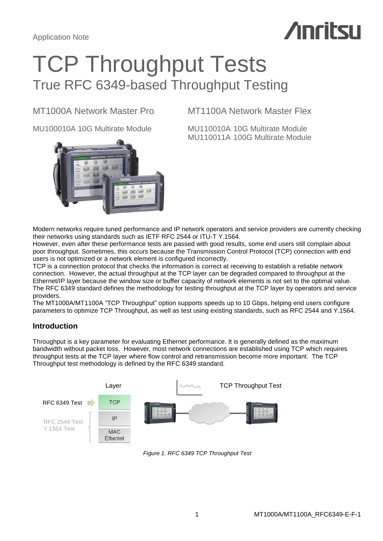# **Anritsu**

## TCP Throughput Tests True RFC 6349-based Throughput Testing

MU100010A 10G Multirate Module MU110010A 10G Multirate Module



## MT1000A Network Master Pro MT1100A Network Master Flex

MU110011A 100G Multirate Module

Modern networks require tuned performance and IP network operators and service providers are currently checking their networks using standards such as IETF RFC 2544 or ITU-T Y.1564.

However, even after these performance tests are passed with good results, some end users still complain about poor throughput. Sometimes, this occurs because the Transmission Control Protocol (TCP) connection with end users is not optimized or a network element is configured incorrectly.

TCP is a connection protocol that checks the information is correct at receiving to establish a reliable network connection. However, the actual throughput at the TCP layer can be degraded compared to throughput at the Ethernet/IP layer because the window size or buffer capacity of network elements is not set to the optimal value. The RFC 6349 standard defines the methodology for testing throughput at the TCP layer by operators and service providers.

The MT1000A/MT1100A "TCP Throughput" option supports speeds up to 10 Gbps, helping end users configure parameters to optimize TCP Throughput, as well as test using existing standards, such as RFC 2544 and Y.1564.

## **Introduction**

Throughput is a key parameter for evaluating Ethernet performance. It is generally defined as the maximum bandwidth without packet loss. However, most network connections are established using TCP which requires throughput tests at the TCP layer where flow control and retransmission become more important. The TCP Throughput test methodology is defined by the RFC 6349 standard.



*Figure 1. RFC 6349 TCP Throughput Test*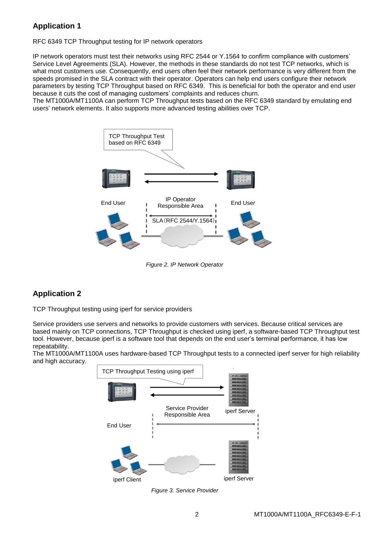## **Application 1**

RFC 6349 TCP Throughput testing for IP network operators

IP network operators must test their networks using RFC 2544 or Y.1564 to confirm compliance with customers' Service Level Agreements (SLA). However, the methods in these standards do not test TCP networks, which is what most customers use. Consequently, end users often feel their network performance is very different from the speeds promised in the SLA contract with their operator. Operators can help end users configure their network parameters by testing TCP Throughput based on RFC 6349. This is beneficial for both the operator and end user because it cuts the cost of managing customers' complaints and reduces churn.

The MT1000A/MT1100A can perform TCP Throughput tests based on the RFC 6349 standard by emulating end users' network elements. It also supports more advanced testing abilities over TCP.



*Figure 2. IP Network Operator*

## **Application 2**

TCP Throughput testing using iperf for service providers

Service providers use servers and networks to provide customers with services. Because critical services are based mainly on TCP connections, TCP Throughput is checked using iperf, a software-based TCP Throughput test tool. However, because iperf is a software tool that depends on the end user's terminal performance, it has low repeatability.

The MT1000A/MT1100A uses hardware-based TCP Throughput tests to a connected iperf server for high reliability and high accuracy.



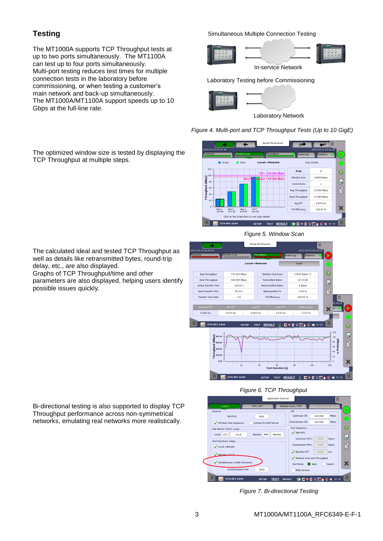## **Testing**

The MT1000A supports TCP Throughput tests at up to two ports simultaneously. The MT1100A can test up to four ports simultaneously. Multi-port testing reduces test times for multiple connection tests in the laboratory before commissioning, or when testing a customer's main network and back-up simultaneously. The MT1000A/MT1100A support speeds up to 10 Gbps at the full-line rate.

Simultaneous Multiple Connection Testing





### Laboratory Testing before Commissioning



*Figure 4. Multi-port and TCP Throughput Tests (Up to 10 GigE)*



### *Figure 5. Window Scan*

Result File Browse Window Scan<br>**Home Communication** Local->Remote ē 725.403 Mbp Avg Throughpu 13140 Bytes / 1 10.13 GB 949.285 Mbps Transmitted Bytes Ideal Throughput  $\begin{bmatrix} \frac{\partial \mathbf{r}}{\partial \mathbf{r}} \end{bmatrix}$ Actual Transfer Time 120.00 s **Retransmitted Bytes** 0 Bytes É Ideal Transfer Time  $91.70 s$ Retransmitted %  $0.00%$ **Transfer Time Ratio**  $1.31$ TCP Efficiency 100.00 %  $\overline{\mathbf{y}}$  $0.106 \text{ ms}$  $0.033 \, \text{ms}$  $0.092 \, \text{ms}$  $5.531 ms$  $-13.21$  % ETH-RFC 6349 **SETUP** TEST RESULT **DISKS VENER IN** ø  $\ddot{z}$ **ETTICIENCY** é <sup>60</sup><br>Test Duration (s) SETUP TEST RESULT **BORDVER** 

## *Figure 6. TCP Throughput*

|                                                        |                            | <b>Application Selector</b> |                      |                   | Ш            |                |
|--------------------------------------------------------|----------------------------|-----------------------------|----------------------|-------------------|--------------|----------------|
| Control                                                | MTU / RTT                  |                             | Window Scan / THPT   | Multi-Service     |              |                |
| General                                                |                            |                             | CIR                  |                   |              | D              |
| Test Port                                              | 5001                       |                             | Upstream CIR:        | 100.000           | Mbps         |                |
| Full Auto Test Sequence                                | Connect to iPerf Server    |                             | Downstream CIR:      | 100.000           | Mbps         |                |
| Site Names (Short, Long).                              |                            |                             | <b>Test Sequence</b> |                   |              | $\overline{?}$ |
| Local: LOC<br>Local<br>Remote:<br><b>REM</b><br>Remote |                            |                             | Path MTU             | Ľ,                |              |                |
| Test Directions Setup                                  |                            |                             | Upstream MTU:        | 1500              | <b>Bytes</b> |                |
| Local->Remote<br>✓                                     |                            |                             | Downstream MTU:      | 1500              | <b>Bytes</b> | 昏              |
| Remote->Local                                          |                            |                             | Baseline RTT         | 4.870             | ms           |                |
|                                                        | Vindow Scan and Throughput |                             |                      |                   |              |                |
| Simultaneous in Both Directions<br>✓                   |                            |                             | Test Mode:           | Ж                 |              |                |
| Communication Port-                                    | 5002                       |                             | Multi-Service        |                   |              |                |
| <b>ETH-RFC 6349</b>                                    | <b>SETUP</b>               | <b>TEST</b>                 | <b>RESULT</b>        | <b>HOSE VESEX</b> | 02:42        | Ш              |

*Figure 7. Bi-directional Testing*

The optimized window size is tested by displaying the TCP Throughput at multiple steps.

The calculated ideal and tested TCP Throughput as well as details like retransmitted bytes, round-trip delay, etc., are also displayed.

Graphs of TCP Throughput/time and other parameters are also displayed, helping users identify possible issues quickly.

Bi-directional testing is also supported to display TCP Throughput performance across non-symmetrical networks, emulating real networks more realistically.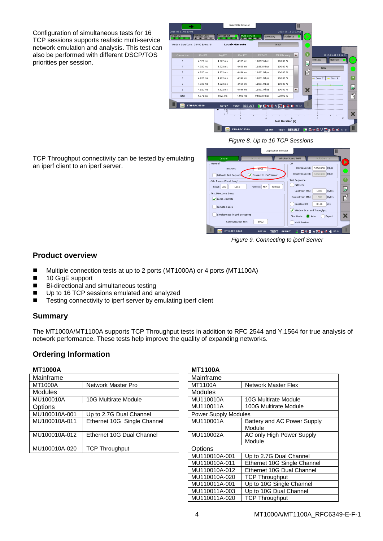Configuration of simultaneous tests for 16 TCP sessions supports realistic multi-service network emulation and analysis. This test can also be performed with different DSCP/TOS priorities per session.

|   | 2015-05-11 03:10:05          |                                   |                              | Result File Browser               |                  | 2015-05-11 03:12:01        | Ш                                     |          |                             |                   |
|---|------------------------------|-----------------------------------|------------------------------|-----------------------------------|------------------|----------------------------|---------------------------------------|----------|-----------------------------|-------------------|
|   | Summary<br><b>TELEVISION</b> | <b>Window Scan</b>                | Throughput<br>CHELLER LITTLE | Multi-Service<br>---------------- | <b>Event Log</b> | <b>Statistics</b>          | ь                                     |          |                             |                   |
|   |                              | Window Size/Conn: 58400 Bytes / 8 |                              | Local->Remote                     |                  | Graph                      |                                       |          | $\mathbb{I}$                |                   |
|   | Connection                   | Min RTT                           | Avg RTT                      | Max RTT                           | TX THPT          | <b>TCP Efficiency</b>      | $\left( 2\right)$<br>$\blacktriangle$ |          | 2015-05-11 03:12:01         |                   |
|   | 3                            | 4.920 ms                          | 4.922 ms                     | 4.995 ms                          | 11.862 Mbps      | 100.00 %                   | Ľ                                     | rent Log | <b>Statistics</b>           | ⋗                 |
|   | $\overline{a}$               | 4.920 ms                          | 4.922 ms                     | 4995 ms                           | 11.862 Mbps      | 100.00 %                   |                                       | Table    |                             |                   |
|   | 5                            | 4.920 ms                          | 4.922 ms                     | 4.996 ms                          | 11.861 Mbps      | 100.00 %                   | 昏                                     |          |                             |                   |
|   | 6                            | 4.920 ms                          | 4.922 ms                     | 4.996 ms                          | 11.861 Mbps      | 100.00 %                   |                                       | Conn 7   | $-$ Conn 8                  | $\left( 2\right)$ |
|   | $\overline{7}$               | 4.920 ms                          | 4.922 ms                     | 4.995 ms                          | 11.861 Mbps      | 100.00 %                   |                                       |          |                             |                   |
|   | 8                            | 4.920 ms                          | 4.922 ms                     | 4.996 ms                          | 11.861 Mbps      | 100.00 %                   | ×<br>$\blacktriangledown$             |          |                             | Ď                 |
|   | Total                        | 4.871 ms                          | 4.921 ms                     | 4.996 ms                          | 94.892 Mbps      | 100.00 %                   |                                       |          |                             | É                 |
| Ш |                              | <b>ETH-RFC 6349</b>               | <b>SETUP</b>                 | <b>RESULT</b><br><b>TEST</b>      |                  | <b>HOSE VESSE 18 03 17</b> | Ш                                     |          |                             |                   |
|   |                              |                                   | $\blacksquare$<br>$0 -$      |                                   |                  |                            |                                       |          |                             | X                 |
|   |                              |                                   |                              | $\overline{2}$                    |                  | <b>Test Duration (s)</b>   |                                       | g        | 10                          |                   |
|   |                              |                                   |                              | <b>ETH-RFC 6349</b>               | <b>SETUP</b>     | <b>TEST</b>                | <b>RESULT</b>                         |          | HB STEX V DA SX DX 16 03 17 | Ш                 |

*Figure 8. Up to 16 TCP Sessions*

TCP Throughput connectivity can be tested by emulating an iperf client to an iperf server.



*Figure 9. Connecting to iperf Server*

## **Product overview**

- Multiple connection tests at up to 2 ports (MT1000A) or 4 ports (MT1100A)
- 10 GigE support
- Bi-directional and simultaneous testing
- Up to 16 TCP sessions emulated and analyzed
- Testing connectivity to iperf server by emulating iperf client

## **Summary**

The MT1000A/MT1100A supports TCP Throughput tests in addition to RFC 2544 and Y.1564 for true analysis of network performance. These tests help improve the quality of expanding networks.

## **Ordering Information**

| <b>MT1000A</b> |                             |                | <b>MT1100A</b>              |  |  |  |  |
|----------------|-----------------------------|----------------|-----------------------------|--|--|--|--|
| Mainframe      |                             | Mainframe      |                             |  |  |  |  |
| <b>MT1000A</b> | Network Master Pro          | <b>MT1100A</b> | Network Master Flex         |  |  |  |  |
| <b>Modules</b> |                             | <b>Modules</b> |                             |  |  |  |  |
| MU100010A      | 10G Multirate Module        | MU110010A      | 10G Multirate Module        |  |  |  |  |
| Options        |                             | MU110011A      | 100G Multirate Module       |  |  |  |  |
| MU100010A-001  | Up to 2.7G Dual Channel     |                | <b>Power Supply Modules</b> |  |  |  |  |
| MU100010A-011  | Ethernet 10G Single Channel | MU110001A      | Battery and AC Power Supply |  |  |  |  |
|                |                             |                | Module                      |  |  |  |  |
| MU100010A-012  | Ethernet 10G Dual Channel   | MU110002A      | AC only High Power Supply   |  |  |  |  |
|                |                             |                | Module                      |  |  |  |  |
| MU100010A-020  | <b>TCP Throughput</b>       | Options        |                             |  |  |  |  |
|                |                             |                |                             |  |  |  |  |

## **MT1000A MT1100A**

| Mainframe                   |                             |  |  |  |
|-----------------------------|-----------------------------|--|--|--|
| MT1100A                     | Network Master Flex         |  |  |  |
| Modules                     |                             |  |  |  |
| MU110010A                   | <b>10G Multirate Module</b> |  |  |  |
| MU110011A                   | 100G Multirate Module       |  |  |  |
| <b>Power Supply Modules</b> |                             |  |  |  |
| MU110001A                   | Battery and AC Power Supply |  |  |  |
|                             | Module                      |  |  |  |
| MU110002A                   | AC only High Power Supply   |  |  |  |
|                             | Module                      |  |  |  |
| Options                     |                             |  |  |  |
| MU110010A-001               | Up to 2.7G Dual Channel     |  |  |  |
| MU110010A-011               | Ethernet 10G Single Channel |  |  |  |
| MU110010A-012               | Ethernet 10G Dual Channel   |  |  |  |
| MU110010A-020               | <b>TCP Throughput</b>       |  |  |  |
| MU110011A-001               | Up to 10G Single Channel    |  |  |  |
| MU110011A-003               | Up to 10G Dual Channel      |  |  |  |
| MU110011A-020               | <b>TCP Throughput</b>       |  |  |  |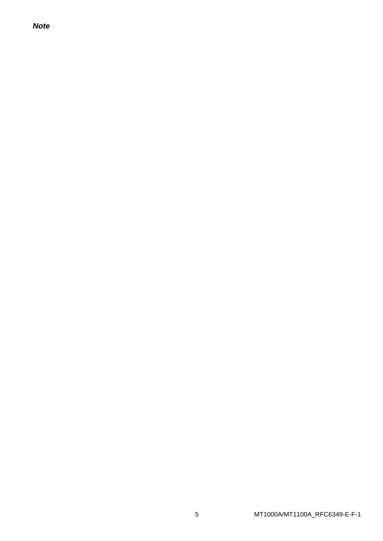**Note**